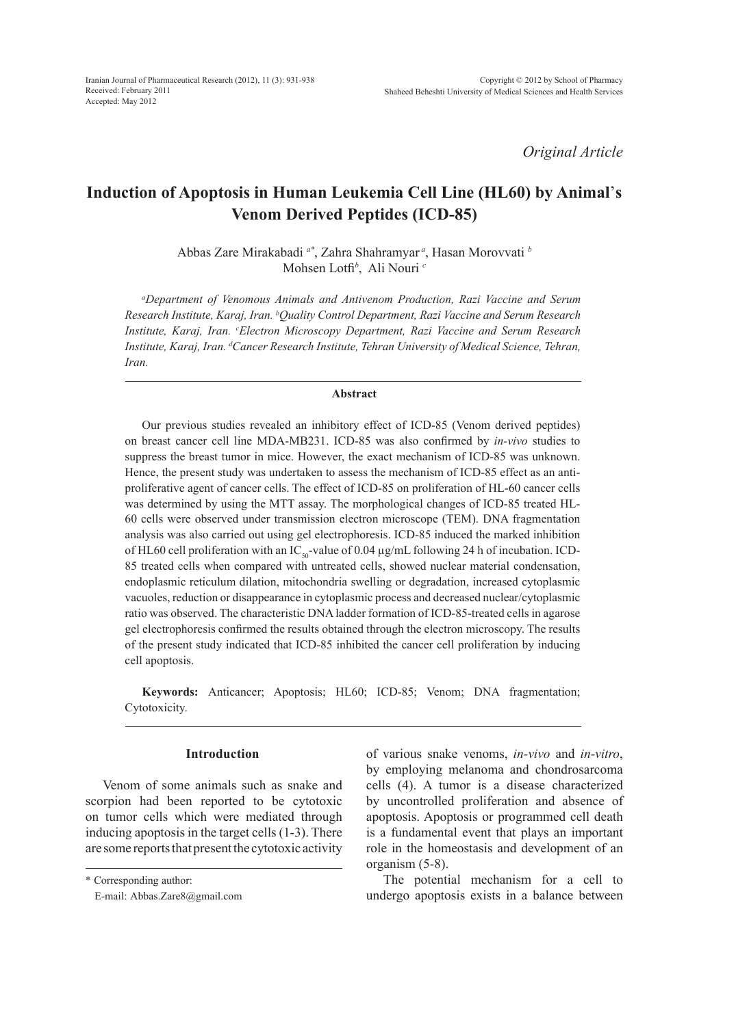*Original Article*

# **Induction of Apoptosis in Human Leukemia Cell Line (HL60) by Animal**'**s Venom Derived Peptides (ICD-85)**

Abbas Zare Mirakabadi *a\**, Zahra Shahramyar *<sup>a</sup>* , Hasan Morovvati *<sup>b</sup>* Mohsen Lotfi*<sup>b</sup>* , Ali Nouri *<sup>c</sup>*

*a Department of Venomous Animals and Antivenom Production, Razi Vaccine and Serum Research Institute, Karaj, Iran. b Quality Control Department, Razi Vaccine and Serum Research*  Institute, Karaj, Iran. <sup>c</sup>Electron Microscopy Department, Razi Vaccine and Serum Research *Institute, Karaj, Iran. d Cancer Research Institute, Tehran University of Medical Science, Tehran, Iran.*

## **Abstract**

Our previous studies revealed an inhibitory effect of ICD-85 (Venom derived peptides) on breast cancer cell line MDA-MB231. ICD-85 was also confirmed by *in-vivo* studies to suppress the breast tumor in mice. However, the exact mechanism of ICD-85 was unknown. Hence, the present study was undertaken to assess the mechanism of ICD-85 effect as an antiproliferative agent of cancer cells. The effect of ICD-85 on proliferation of HL-60 cancer cells was determined by using the MTT assay. The morphological changes of ICD-85 treated HL-60 cells were observed under transmission electron microscope (TEM). DNA fragmentation analysis was also carried out using gel electrophoresis. ICD-85 induced the marked inhibition of HL60 cell proliferation with an IC<sub>50</sub>-value of 0.04  $\mu$ g/mL following 24 h of incubation. ICD-85 treated cells when compared with untreated cells, showed nuclear material condensation, endoplasmic reticulum dilation, mitochondria swelling or degradation, increased cytoplasmic vacuoles, reduction or disappearance in cytoplasmic process and decreased nuclear/cytoplasmic ratio was observed. The characteristic DNA ladder formation of ICD-85-treated cells in agarose gel electrophoresis confirmed the results obtained through the electron microscopy. The results of the present study indicated that ICD-85 inhibited the cancer cell proliferation by inducing cell apoptosis.

**Keywords:** Anticancer; Apoptosis; HL60; ICD-85; Venom; DNA fragmentation; Cytotoxicity.

## **Introduction**

Venom of some animals such as snake and scorpion had been reported to be cytotoxic on tumor cells which were mediated through inducing apoptosis in the target cells (1-3). There are some reports that present the cytotoxic activity

\* Corresponding author:

of various snake venoms, *in-vivo* and *in-vitro*, by employing melanoma and chondrosarcoma cells (4). A tumor is a disease characterized by uncontrolled proliferation and absence of apoptosis. Apoptosis or programmed cell death is a fundamental event that plays an important role in the homeostasis and development of an organism (5-8).

The potential mechanism for a cell to undergo apoptosis exists in a balance between

E-mail: Abbas.Zare8@gmail.com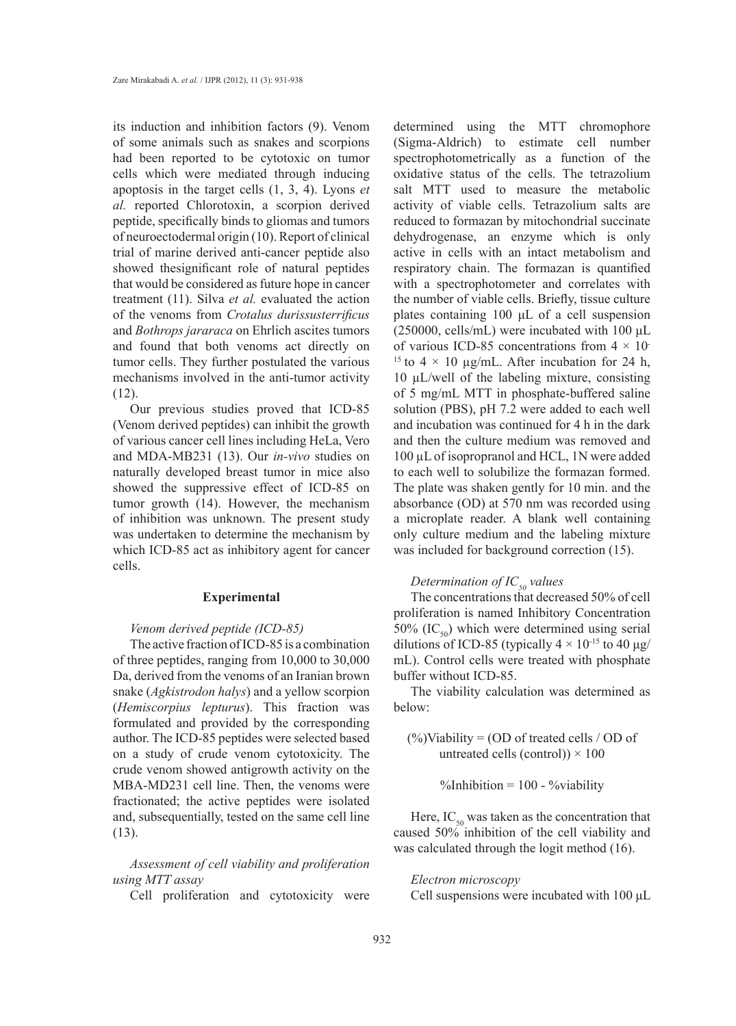its induction and inhibition factors (9). Venom of some animals such as snakes and scorpions had been reported to be cytotoxic on tumor cells which were mediated through inducing apoptosis in the target cells (1, 3, 4). Lyons *et al.* reported Chlorotoxin, a scorpion derived peptide, specifically binds to gliomas and tumors of neuroectodermal origin (10). Report of clinical trial of marine derived anti-cancer peptide also showed thesignificant role of natural peptides that would be considered as future hope in cancer treatment (11). Silva *et al.* evaluated the action of the venoms from *Crotalus durissusterrificus*  and *Bothrops jararaca* on Ehrlich ascites tumors and found that both venoms act directly on tumor cells. They further postulated the various mechanisms involved in the anti-tumor activity (12).

Our previous studies proved that ICD-85 (Venom derived peptides) can inhibit the growth of various cancer cell lines including HeLa, Vero and MDA-MB231 (13). Our *in-vivo* studies on naturally developed breast tumor in mice also showed the suppressive effect of ICD-85 on tumor growth (14). However, the mechanism of inhibition was unknown. The present study was undertaken to determine the mechanism by which ICD-85 act as inhibitory agent for cancer cells.

### **Experimental**

#### *Venom derived peptide (ICD-85)*

The active fraction of ICD-85 is a combination of three peptides, ranging from 10,000 to 30,000 Da, derived from the venoms of an Iranian brown snake (*Agkistrodon halys*) and a yellow scorpion (*Hemiscorpius lepturus*). This fraction was formulated and provided by the corresponding author. The ICD-85 peptides were selected based on a study of crude venom cytotoxicity. The crude venom showed antigrowth activity on the MBA-MD231 cell line. Then, the venoms were fractionated; the active peptides were isolated and, subsequentially, tested on the same cell line (13).

*Assessment of cell viability and proliferation using MTT assay*

Cell proliferation and cytotoxicity were

determined using the MTT chromophore (Sigma-Aldrich) to estimate cell number spectrophotometrically as a function of the oxidative status of the cells. The tetrazolium salt MTT used to measure the metabolic activity of viable cells. Tetrazolium salts are reduced to formazan by mitochondrial succinate dehydrogenase, an enzyme which is only active in cells with an intact metabolism and respiratory chain. The formazan is quantified with a spectrophotometer and correlates with the number of viable cells. Briefly, tissue culture plates containing 100 μL of a cell suspension (250000, cells/mL) were incubated with 100  $\mu$ L of various ICD-85 concentrations from  $4 \times 10^{-7}$ <sup>15</sup> to 4  $\times$  10 µg/mL. After incubation for 24 h, 10 µL/well of the labeling mixture, consisting of 5 mg/mL MTT in phosphate-buffered saline solution (PBS), pH 7.2 were added to each well and incubation was continued for 4 h in the dark and then the culture medium was removed and 100 µL of isopropranol and HCL, 1N were added to each well to solubilize the formazan formed. The plate was shaken gently for 10 min. and the absorbance (OD) at 570 nm was recorded using a microplate reader. A blank well containing only culture medium and the labeling mixture was included for background correction  $(15)$ .

# *Determination of IC<sub>50</sub> values*

The concentrations that decreased 50% of cell proliferation is named Inhibitory Concentration 50% (IC $_{50}$ ) which were determined using serial dilutions of ICD-85 (typically  $4 \times 10^{-15}$  to 40 µg/ mL). Control cells were treated with phosphate buffer without ICD-85.

The viability calculation was determined as below:

 $(\%)$ Viability = (OD of treated cells / OD of untreated cells (control))  $\times$  100

%Inhibition =  $100 - %width$ 

Here,  $IC_{50}$  was taken as the concentration that caused 50% inhibition of the cell viability and was calculated through the logit method (16).

## *Electron microscopy*

Cell suspensions were incubated with 100 μL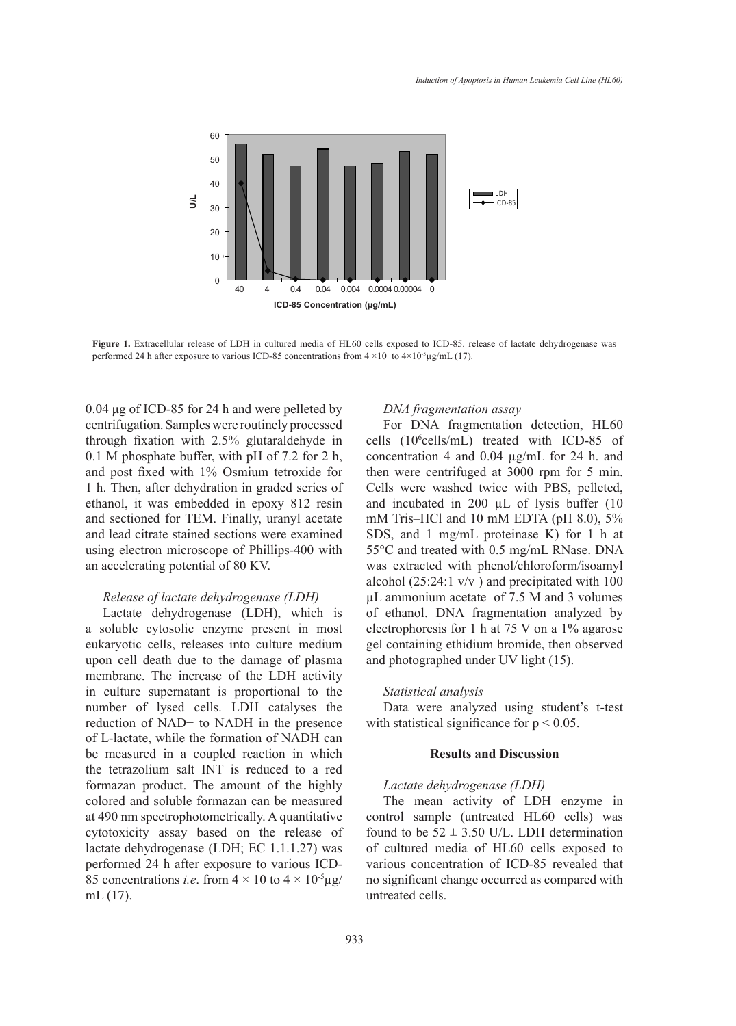

**Figure 1.** Extracellular release of LDH in cultured media of HL60 cells exposed to ICD-85. release of lactate dehydrogenase was performed 24 h after exposure to various ICD-85 concentrations from  $4 \times 10$  to  $4 \times 10^{-5} \mu\text{g/mL}$  (17).

0.04 μg of ICD-85 for 24 h and were pelleted by centrifugation. Samples were routinely processed through fixation with 2.5% glutaraldehyde in 0.1 M phosphate buffer, with pH of 7.2 for 2 h, and post fixed with 1% Osmium tetroxide for 1 h. Then, after dehydration in graded series of ethanol, it was embedded in epoxy 812 resin and sectioned for TEM. Finally, uranyl acetate and lead citrate stained sections were examined using electron microscope of Phillips-400 with an accelerating potential of 80 KV.

# *Release of lactate dehydrogenase (LDH)*

Lactate dehydrogenase (LDH), which is a soluble cytosolic enzyme present in most eukaryotic cells, releases into culture medium upon cell death due to the damage of plasma membrane. The increase of the LDH activity in culture supernatant is proportional to the number of lysed cells. LDH catalyses the reduction of NAD+ to NADH in the presence of L-lactate, while the formation of NADH can be measured in a coupled reaction in which the tetrazolium salt INT is reduced to a red formazan product. The amount of the highly colored and soluble formazan can be measured at 490 nm spectrophotometrically. A quantitative cytotoxicity assay based on the release of lactate dehydrogenase (LDH; EC 1.1.1.27) was performed 24 h after exposure to various ICD-85 concentrations *i.e.* from  $4 \times 10$  to  $4 \times 10^{-5}$ µg/ mL (17).

## *DNA fragmentation assay*

For DNA fragmentation detection, HL60 cells (106 cells/mL) treated with ICD-85 of concentration 4 and 0.04 µg/mL for 24 h. and then were centrifuged at 3000 rpm for 5 min. Cells were washed twice with PBS, pelleted, and incubated in 200 µL of lysis buffer (10 mM Tris–HCl and 10 mM EDTA (pH 8.0), 5% SDS, and 1 mg/mL proteinase K) for 1 h at 55°C and treated with 0.5 mg/mL RNase. DNA was extracted with phenol/chloroform/isoamyl alcohol (25:24:1 v/v ) and precipitated with 100 µL ammonium acetate of 7.5 M and 3 volumes of ethanol. DNA fragmentation analyzed by electrophoresis for 1 h at 75 V on a 1% agarose gel containing ethidium bromide, then observed and photographed under UV light (15).

#### *Statistical analysis*

Data were analyzed using student's t-test with statistical significance for  $p < 0.05$ .

# **Results and Discussion**

#### *Lactate dehydrogenase (LDH)*

The mean activity of LDH enzyme in control sample (untreated HL60 cells) was found to be  $52 \pm 3.50$  U/L. LDH determination of cultured media of HL60 cells exposed to various concentration of ICD-85 revealed that no significant change occurred as compared with untreated cells.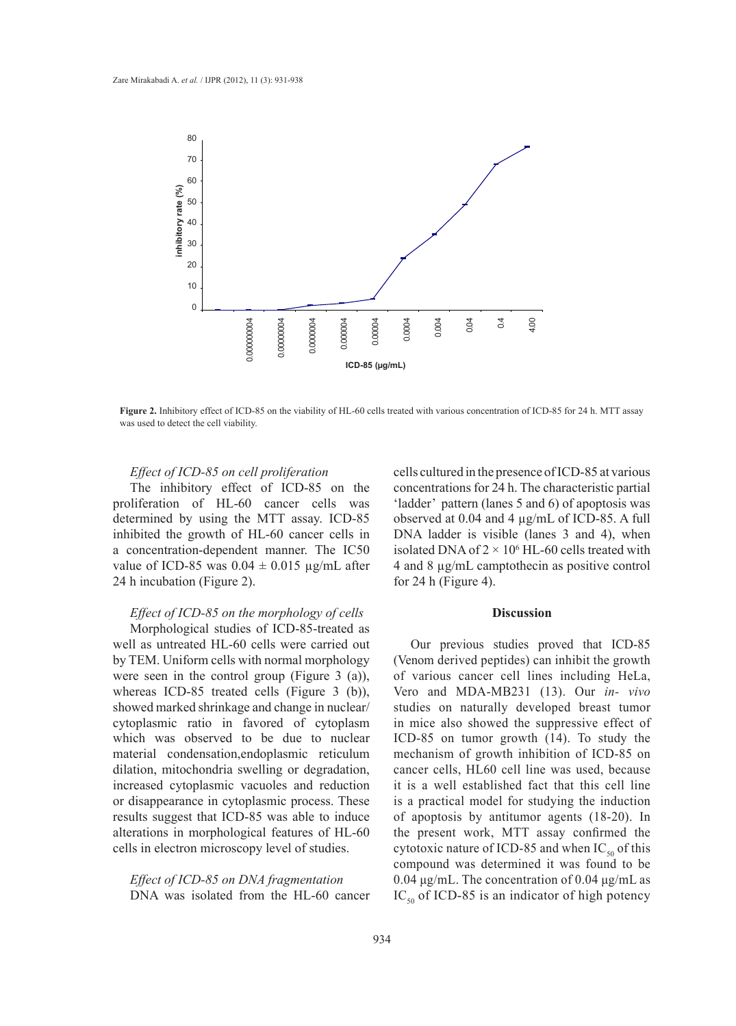

**Figure 2.** Inhibitory effect of ICD-85 on the viability of HL-60 cells treated with various concentration of ICD-85 for 24 h. MTT assay was used to detect the cell viability.

# *Effect of ICD-85 on cell proliferation*

The inhibitory effect of ICD-85 on the proliferation of HL-60 cancer cells was determined by using the MTT assay. ICD-85 inhibited the growth of HL-60 cancer cells in a concentration-dependent manner. The IC50 value of ICD-85 was  $0.04 \pm 0.015$  µg/mL after 24 h incubation (Figure 2).

## *Effect of ICD-85 on the morphology of cells*

Morphological studies of ICD-85-treated as well as untreated HL-60 cells were carried out by TEM. Uniform cells with normal morphology were seen in the control group (Figure 3 (a)), whereas ICD-85 treated cells (Figure 3 (b)), showed marked shrinkage and change in nuclear/ cytoplasmic ratio in favored of cytoplasm which was observed to be due to nuclear material condensation,endoplasmic reticulum dilation, mitochondria swelling or degradation, increased cytoplasmic vacuoles and reduction or disappearance in cytoplasmic process. These results suggest that ICD-85 was able to induce alterations in morphological features of HL-60 cells in electron microscopy level of studies.

*Effect of ICD-85 on DNA fragmentation* DNA was isolated from the HL-60 cancer cells cultured in the presence of ICD-85 at various concentrations for 24 h. The characteristic partial 'ladder' pattern (lanes 5 and 6) of apoptosis was observed at 0.04 and 4 µg/mL of ICD-85. A full DNA ladder is visible (lanes 3 and 4), when isolated DNA of  $2 \times 10^6$  HL-60 cells treated with 4 and 8 µg/mL camptothecin as positive control for 24 h (Figure 4).

# **Discussion**

Our previous studies proved that ICD-85 (Venom derived peptides) can inhibit the growth of various cancer cell lines including HeLa, Vero and MDA-MB231 (13). Our *in- vivo* studies on naturally developed breast tumor in mice also showed the suppressive effect of ICD-85 on tumor growth (14). To study the mechanism of growth inhibition of ICD-85 on cancer cells, HL60 cell line was used, because it is a well established fact that this cell line is a practical model for studying the induction of apoptosis by antitumor agents (18-20). In the present work, MTT assay confirmed the cytotoxic nature of ICD-85 and when  $IC_{50}$  of this compound was determined it was found to be 0.04 μg/mL. The concentration of 0.04 μg/mL as  $IC_{50}$  of ICD-85 is an indicator of high potency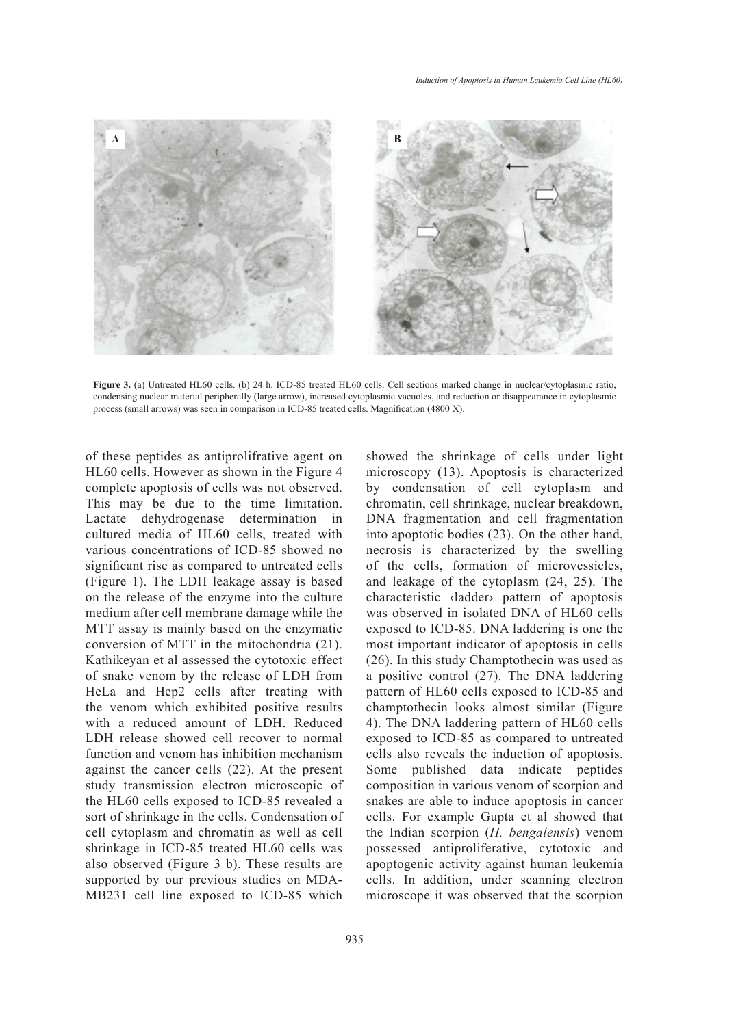

Figure 3. (a) Untreated HL60 cells. (b) 24 h. ICD-85 treated HL60 cells. Cell sections marked change in nuclear/cytoplasmic ratio, condensing nuclear material peripherally (large arrow), increased cytoplasmic vacuoles, and reduction or disappearance in cytoplasmic process (small arrows) was seen in comparison in ICD-85 treated cells. Magnification (4800 X).

of these peptides as antiprolifrative agent on HL60 cells. However as shown in the Figure 4 complete apoptosis of cells was not observed. This may be due to the time limitation. Lactate dehydrogenase determination in cultured media of HL60 cells, treated with various concentrations of ICD-85 showed no significant rise as compared to untreated cells (Figure 1). The LDH leakage assay is based on the release of the enzyme into the culture medium after cell membrane damage while the MTT assay is mainly based on the enzymatic conversion of MTT in the mitochondria (21). Kathikeyan et al assessed the cytotoxic effect of snake venom by the release of LDH from HeLa and Hep2 cells after treating with the venom which exhibited positive results with a reduced amount of LDH. Reduced LDH release showed cell recover to normal function and venom has inhibition mechanism against the cancer cells (22). At the present study transmission electron microscopic of the HL60 cells exposed to ICD-85 revealed a sort of shrinkage in the cells. Condensation of cell cytoplasm and chromatin as well as cell shrinkage in ICD-85 treated HL60 cells was also observed (Figure 3 b). These results are supported by our previous studies on MDA-MB231 cell line exposed to ICD-85 which

showed the shrinkage of cells under light microscopy (13). Apoptosis is characterized by condensation of cell cytoplasm and chromatin, cell shrinkage, nuclear breakdown, DNA fragmentation and cell fragmentation into apoptotic bodies (23). On the other hand, necrosis is characterized by the swelling of the cells, formation of microvessicles, and leakage of the cytoplasm (24, 25). The characteristic ‹ladder› pattern of apoptosis was observed in isolated DNA of HL60 cells exposed to ICD-85. DNA laddering is one the most important indicator of apoptosis in cells (26). In this study Champtothecin was used as a positive control (27). The DNA laddering pattern of HL60 cells exposed to ICD-85 and champtothecin looks almost similar (Figure 4). The DNA laddering pattern of HL60 cells exposed to ICD-85 as compared to untreated cells also reveals the induction of apoptosis. Some published data indicate peptides composition in various venom of scorpion and snakes are able to induce apoptosis in cancer cells. For example Gupta et al showed that the Indian scorpion (*H. bengalensis*) venom possessed antiproliferative, cytotoxic and apoptogenic activity against human leukemia cells. In addition, under scanning electron microscope it was observed that the scorpion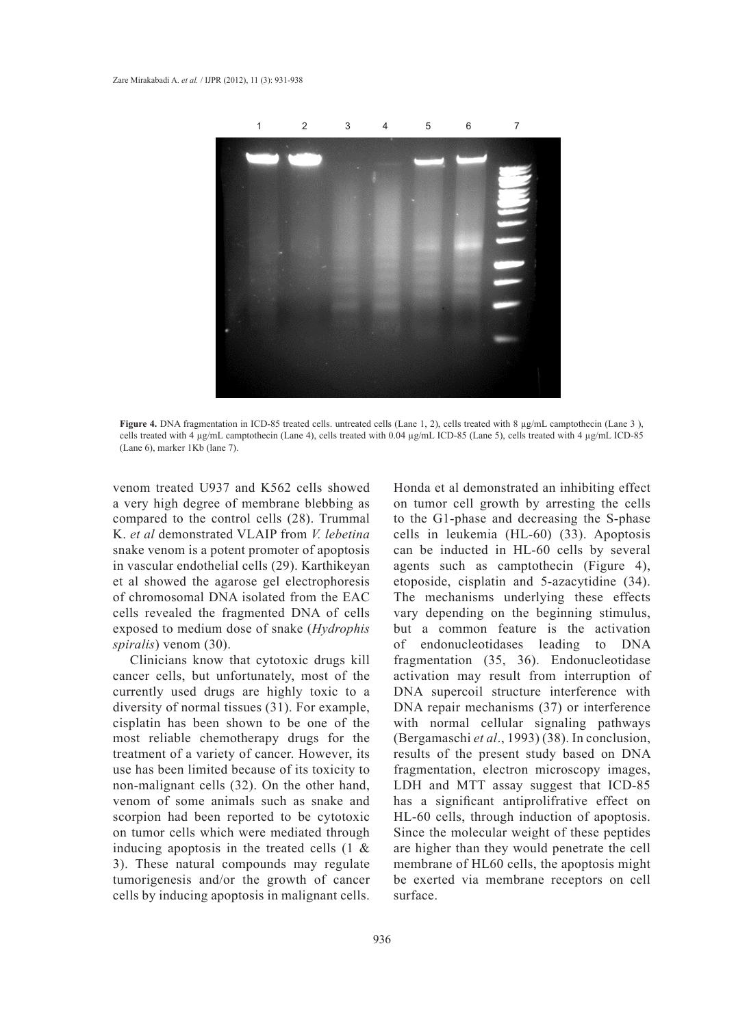

**Figure 4.** DNA fragmentation in ICD-85 treated cells. untreated cells (Lane 1, 2), cells treated with 8 µg/mL camptothecin (Lane 3 ), cells treated with 4 µg/mL camptothecin (Lane 4), cells treated with 0.04 µg/mL ICD-85 (Lane 5), cells treated with 4 µg/mL ICD-85 (Lane 6), marker 1Kb (lane 7).

venom treated U937 and K562 cells showed a very high degree of membrane blebbing as compared to the control cells (28). Trummal K. *et al* demonstrated VLAIP from *V. lebetina*  snake venom is a potent promoter of apoptosis in vascular endothelial cells (29). Karthikeyan et al showed the agarose gel electrophoresis of chromosomal DNA isolated from the EAC cells revealed the fragmented DNA of cells exposed to medium dose of snake (*Hydrophis spiralis*) venom (30).

Clinicians know that cytotoxic drugs kill cancer cells, but unfortunately, most of the currently used drugs are highly toxic to a diversity of normal tissues (31). For example, cisplatin has been shown to be one of the most reliable chemotherapy drugs for the treatment of a variety of cancer. However, its use has been limited because of its toxicity to non-malignant cells (32). On the other hand, venom of some animals such as snake and scorpion had been reported to be cytotoxic on tumor cells which were mediated through inducing apoptosis in the treated cells (1 & 3). These natural compounds may regulate tumorigenesis and/or the growth of cancer cells by inducing apoptosis in malignant cells. Honda et al demonstrated an inhibiting effect on tumor cell growth by arresting the cells to the G1-phase and decreasing the S-phase cells in leukemia (HL-60) (33). Apoptosis can be inducted in HL-60 cells by several agents such as camptothecin (Figure 4), etoposide, cisplatin and 5-azacytidine (34). The mechanisms underlying these effects vary depending on the beginning stimulus, but a common feature is the activation of endonucleotidases leading to DNA fragmentation (35, 36). Endonucleotidase activation may result from interruption of DNA supercoil structure interference with DNA repair mechanisms (37) or interference with normal cellular signaling pathways (Bergamaschi *et al*., 1993) (38). In conclusion, results of the present study based on DNA fragmentation, electron microscopy images, LDH and MTT assay suggest that ICD-85 has a significant antiprolifrative effect on HL-60 cells, through induction of apoptosis. Since the molecular weight of these peptides are higher than they would penetrate the cell membrane of HL60 cells, the apoptosis might be exerted via membrane receptors on cell surface.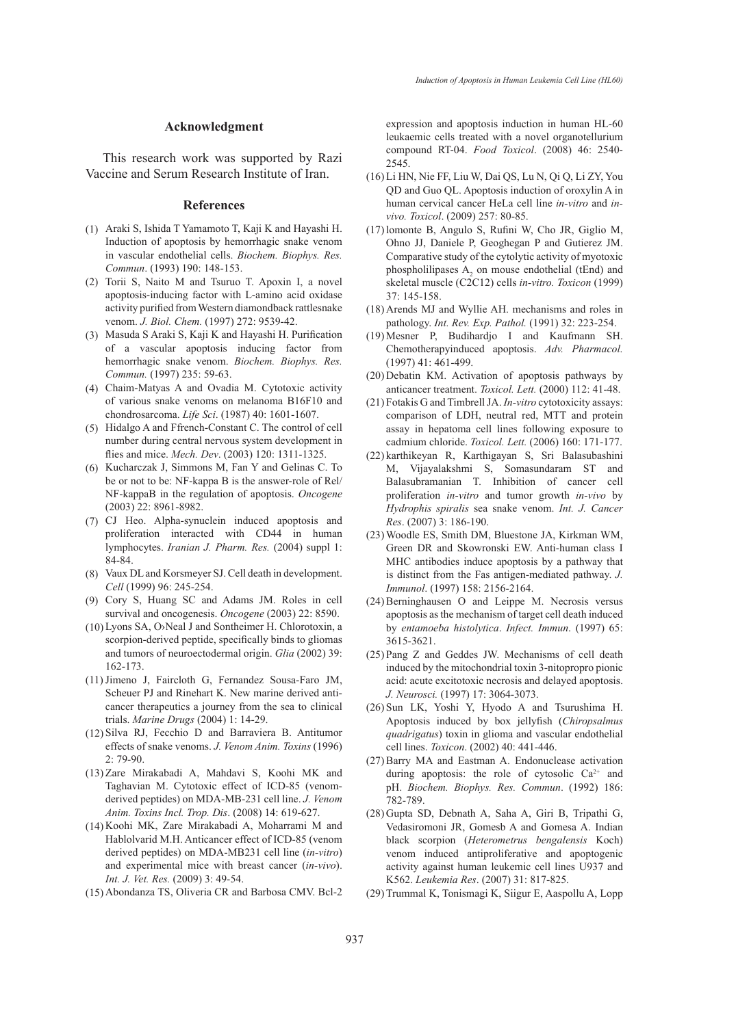#### **Acknowledgment**

This research work was supported by Razi Vaccine and Serum Research Institute of Iran.

#### **References**

- Araki S, Ishida T Yamamoto T, Kaji K and Hayashi H. (1) Induction of apoptosis by hemorrhagic snake venom in vascular endothelial cells. *Biochem. Biophys. Res. Commun*. (1993) 190: 148-153.
- (2) Torii S, Naito M and Tsuruo T. Apoxin I, a novel apoptosis-inducing factor with L-amino acid oxidase activity purified from Western diamondback rattlesnake venom. *J. Biol. Chem.* (1997) 272: 9539-42.
- Masuda S Araki S, Kaji K and Hayashi H. Purification (3) of a vascular apoptosis inducing factor from hemorrhagic snake venom. *Biochem. Biophys. Res. Commun.* (1997) 235: 59-63.
- Chaim-Matyas A and Ovadia M. Cytotoxic activity (4) of various snake venoms on melanoma B16F10 and chondrosarcoma. *Life Sci*. (1987) 40: 1601-1607.
- Hidalgo A and Ffrench-Constant C. The control of cell (5) number during central nervous system development in flies and mice. *Mech. Dev*. (2003) 120: 1311-1325.
- $(6)$  Kucharczak J, Simmons M, Fan Y and Gelinas C. To be or not to be: NF-kappa B is the answer-role of Rel/ NF-kappaB in the regulation of apoptosis. *Oncogene* (2003) 22: 8961-8982.
- CJ Heo. Alpha-synuclein induced apoptosis and (7) proliferation interacted with CD44 in human lymphocytes. *Iranian J. Pharm. Res.* (2004) suppl 1: 84-84.
- (8) Vaux DL and Korsmeyer SJ. Cell death in development. *Cell* (1999) 96: 245-254.
- (9) Cory S, Huang SC and Adams JM. Roles in cell survival and oncogenesis. *Oncogene* (2003) 22: 8590.
- Lyons SA, O›Neal J and Sontheimer H. Chlorotoxin, a (10) scorpion-derived peptide, specifically binds to gliomas and tumors of neuroectodermal origin. *Glia* (2002) 39: 162-173.
- (11) Jimeno J, Faircloth G, Fernandez Sousa-Faro JM, Scheuer PJ and Rinehart K. New marine derived anticancer therapeutics a journey from the sea to clinical trials. *Marine Drugs* (2004) 1: 14-29.
- $(12)$  Silva RJ, Fecchio D and Barraviera B. Antitumor effects of snake venoms. *J. Venom Anim. Toxins* (1996)  $2.79 - 90$
- (13) Zare Mirakabadi A, Mahdavi S, Koohi MK and Taghavian M. Cytotoxic effect of ICD-85 (venomderived peptides) on MDA-MB-231 cell line. *J. Venom Anim. Toxins Incl. Trop. Dis*. (2008) 14: 619-627.
- (14) Koohi MK, Zare Mirakabadi A, Moharrami M and Hablolvarid M.H. Anticancer effect of ICD-85 (venom derived peptides) on MDA-MB231 cell line (*in-vitro*) and experimental mice with breast cancer (*in-vivo*). *Int. J. Vet. Res.* (2009) 3: 49-54.
- (15) Abondanza TS, Oliveria CR and Barbosa CMV. Bcl-2

expression and apoptosis induction in human HL-60 leukaemic cells treated with a novel organotellurium compound RT-04. *Food Toxicol*. (2008) 46: 2540- 2545.

- (16) Li HN, Nie FF, Liu W, Dai QS, Lu N, Qi Q, Li ZY, You QD and Guo QL. Apoptosis induction of oroxylin A in human cervical cancer HeLa cell line *in-vitro* and *invivo. Toxicol*. (2009) 257: 80-85.
- (17) lomonte B, Angulo S, Rufini W, Cho JR, Giglio M, Ohno JJ, Daniele P, Geoghegan P and Gutierez JM. Comparative study of the cytolytic activity of myotoxic phospholilipases  $A_2$  on mouse endothelial (tEnd) and skeletal muscle (C2C12) cells *in-vitro. Toxicon* (1999) 37: 145-158.
- (18) Arends MJ and Wyllie AH. mechanisms and roles in pathology. *Int. Rev. Exp. Pathol.* (1991) 32: 223-254.
- Mesner P, Budihardjo I and Kaufmann SH. (19) Chemotherapyinduced apoptosis. *Adv. Pharmacol.* (1997) 41: 461-499.
- $(20)$  Debatin KM. Activation of apoptosis pathways by anticancer treatment. *Toxicol. Lett.* (2000) 112: 41-48.
- Fotakis G and Timbrell JA. *In-vitro* cytotoxicity assays: (21) comparison of LDH, neutral red, MTT and protein assay in hepatoma cell lines following exposure to cadmium chloride. *Toxicol. Lett.* (2006) 160: 171-177.
- karthikeyan R, Karthigayan S, Sri Balasubashini (22) M, Vijayalakshmi S, Somasundaram ST and Balasubramanian T. Inhibition of cancer cell proliferation *in-vitro* and tumor growth *in-vivo* by *Hydrophis spiralis* sea snake venom. *Int. J. Cancer Res*. (2007) 3: 186-190.
- Woodle ES, Smith DM, Bluestone JA, Kirkman WM, (23) Green DR and Skowronski EW. Anti-human class I MHC antibodies induce apoptosis by a pathway that is distinct from the Fas antigen-mediated pathway. *J. Immunol*. (1997) 158: 2156-2164.
- $(24)$  Berninghausen O and Leippe M. Necrosis versus apoptosis as the mechanism of target cell death induced by *entamoeba histolytica*. *Infect. Immun*. (1997) 65: 3615-3621.
- $(25)$  Pang Z and Geddes JW. Mechanisms of cell death induced by the mitochondrial toxin 3-nitopropro pionic acid: acute excitotoxic necrosis and delayed apoptosis. *J. Neurosci.* (1997) 17: 3064-3073.
- $(26)$  Sun LK, Yoshi Y, Hyodo A and Tsurushima H. Apoptosis induced by box jellyfish (*Chiropsalmus quadrigatus*) toxin in glioma and vascular endothelial cell lines. *Toxicon*. (2002) 40: 441-446.
- (27) Barry MA and Eastman A. Endonuclease activation during apoptosis: the role of cytosolic  $Ca^{2+}$  and pH. *Biochem. Biophys. Res. Commun*. (1992) 186: 782-789.
- (28) Gupta SD, Debnath A, Saha A, Giri B, Tripathi G, Vedasiromoni JR, Gomesb A and Gomesa A. Indian black scorpion (*Heterometrus bengalensis* Koch) venom induced antiproliferative and apoptogenic activity against human leukemic cell lines U937 and K562. *Leukemia Res*. (2007) 31: 817-825.
- (29) Trummal K, Tonismagi K, Siigur E, Aaspollu A, Lopp